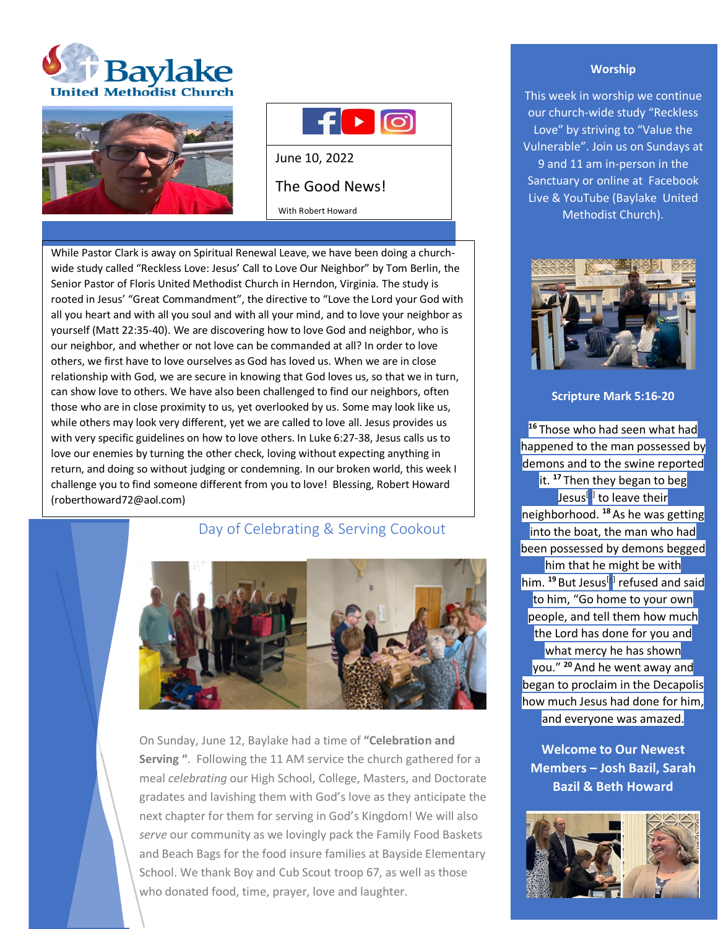





June 10, 2022

# The Good News!

With Robert Howard

While Pastor Clark is away on Spiritual Renewal Leave, we have been doing a churchwide study called "Reckless Love: Jesus' Call to Love Our Neighbor" by Tom Berlin, the Senior Pastor of Floris United Methodist Church in Herndon, Virginia. The study is rooted in Jesus' "Great Commandment", the directive to "Love the Lord your God with all you heart and with all you soul and with all your mind, and to love your neighbor as yourself (Matt 22:35-40). We are discovering how to love God and neighbor, who is our neighbor, and whether or not love can be commanded at all? In order to love others, we first have to love ourselves as God has loved us. When we are in close relationship with God, we are secure in knowing that God loves us, so that we in turn, can show love to others. We have also been challenged to find our neighbors, often those who are in close proximity to us, yet overlooked by us. Some may look like us, while others may look very different, yet we are called to love all. Jesus provides us with very specific guidelines on how to love others. In Luke 6:27-38, Jesus calls us to love our enemies by turning the other check, loving without expecting anything in return, and doing so without judging or condemning. In our broken world, this week I challenge you to find someone different from you to love! Blessing, Robert Howard (roberthoward72@aol.com)

# Day of Celebrating & Serving Cookout



On Sunday, June 12, Baylake had a time of **"Celebration and Serving "**. Following the 11 AM service the church gathered for a meal *celebrating* our High School, College, Masters, and Doctorate gradates and lavishing them with God's love as they anticipate the next chapter for them for serving in God's Kingdom! We will also *serve* our community as we lovingly pack the Family Food Baskets and Beach Bags for the food insure families at Bayside Elementary School. We thank Boy and Cub Scout troop 67, as well as those who donated food, time, prayer, love and laughter.

## **Worship**

This week in worship we continue our church-wide study "Reckless Love" by striving to "Value the Vulnerable". Join us on Sundays at 9 and 11 am in-person in the Sanctuary or online at Facebook Live & YouTube (Baylake United Methodist Church).



## **Scripture Mark 5:16-20**

<sup>16</sup> Those who had seen what had happened to the man possessed by demons and to the swine reported it. **<sup>17</sup>** Then they began to beg Jesus<sup>[d]</sup> to leave their neighborhood. **<sup>18</sup>**As he was getting into the boat, the man who had been possessed by demons begged him that he might be with him. <sup>19</sup> But Jesus<sup>[e]</sup> refused and said to him, "Go home to your own people, and tell them how much the Lord has done for you and what mercy he has shown you." **<sup>20</sup>** And he went away and began to proclaim in the Decapolis how much Jesus had done for him, and everyone was amazed.

**Welcome to Our Newest Members – Josh Bazil, Sarah Bazil & Beth Howard**